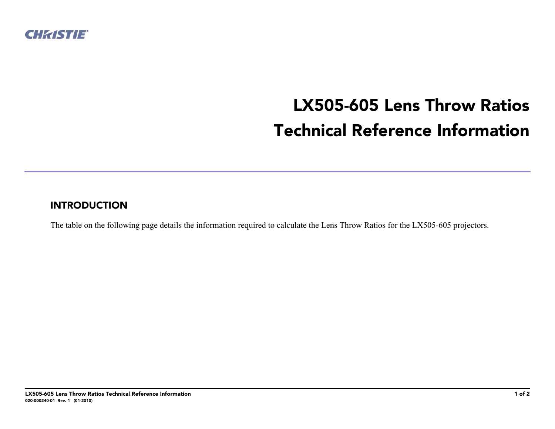

## **LX505-605 Lens Throw Ratios Technical Reference Information**

## **INTRODUCTION**

The table on the following page details the information required to calculate the Lens Throw Ratios for the LX505-605 projectors.